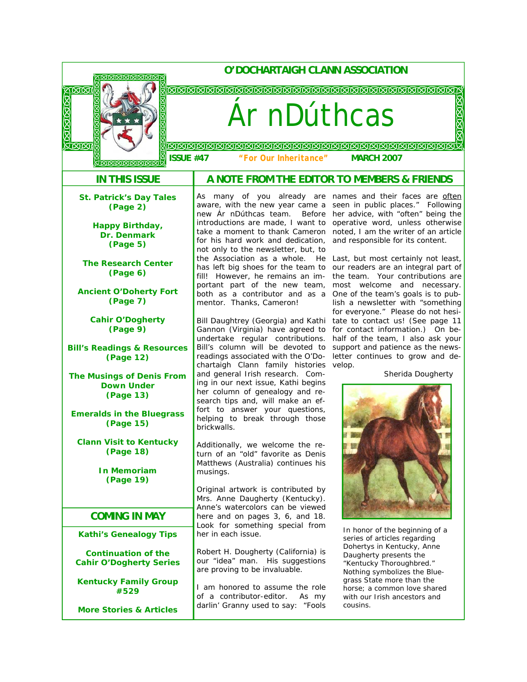| O'DOCHARTAIGH CLANN ASSOCIATION<br><u> AMMAMMANI</u><br><b>ARRRARARARARARARARARARARARARARARARAR</b><br>⊠⊠<br>区区区区<br>Ar nDúthcas |                                                                                                                                                 |                                                                                                                                               |
|----------------------------------------------------------------------------------------------------------------------------------|-------------------------------------------------------------------------------------------------------------------------------------------------|-----------------------------------------------------------------------------------------------------------------------------------------------|
|                                                                                                                                  |                                                                                                                                                 |                                                                                                                                               |
| <b>IN THIS ISSUE</b>                                                                                                             |                                                                                                                                                 | A NOTE FROM THE EDITOR TO MEMBERS & FRIENDS                                                                                                   |
| <b>St. Patrick's Day Tales</b><br>(Page 2)                                                                                       | As many of you already are names and their faces are <i>often</i><br>aware, with the new year came a<br>new <i>Ár nDúthcas</i> team.<br>Before  | seen in public places." Following<br>her advice, with "often" being the                                                                       |
| <b>Happy Birthday,</b><br>Dr. Denmark<br>(Page 5)                                                                                | introductions are made, I want to<br>take a moment to thank Cameron<br>for his hard work and dedication,<br>not only to the newsletter, but, to | operative word, unless otherwise<br>noted, I am the writer of an article<br>and responsible for its content.                                  |
| <b>The Research Center</b><br>(Page 6)                                                                                           | the Association as a whole. He<br>has left big shoes for the team to<br>fill! However, he remains an im-<br>portant part of the new team,       | Last, but most certainly not least,<br>our readers are an integral part of<br>the team. Your contributions are<br>most welcome and necessary. |
| <b>Ancient O'Doherty Fort</b><br>(Page 7)                                                                                        | both as a contributor and as a<br>mentor. Thanks, Cameron!                                                                                      | One of the team's goals is to pub-<br>lish a newsletter with "something<br>for everyone." Please do not hesi-                                 |
| <b>Cahir O'Dogherty</b><br>(Page 9)                                                                                              | Bill Daughtrey (Georgia) and Kathi<br>Gannon (Virginia) have agreed to<br>undertake regular contributions.                                      | tate to contact us! (See page 11<br>for contact information.) On be-<br>half of the team, I also ask your                                     |
| <b>Bill's Readings &amp; Resources</b><br>(Page 12)                                                                              | Bill's column will be devoted to<br>readings associated with the O'Do-<br>chartaigh Clann family histories                                      | support and patience as the news-<br>letter continues to grow and de-<br>velop.                                                               |
| <b>The Musings of Denis From</b><br><b>Down Under</b><br>(Page 13)                                                               | and general Irish research. Com-<br>ing in our next issue, Kathi begins<br>her column of genealogy and re-<br>search tips and, will make an ef- | Sherida Dougherty                                                                                                                             |
| <b>Emeralds in the Bluegrass</b><br>(Page 15)                                                                                    | fort to answer your questions,<br>helping to break through those<br>brickwalls.                                                                 |                                                                                                                                               |
| <b>Clann Visit to Kentucky</b><br>(Page 18)                                                                                      | Additionally, we welcome the re-<br>turn of an "old" favorite as Denis<br>Matthews (Australia) continues his                                    |                                                                                                                                               |
| <b>In Memoriam</b><br>(Page 19)                                                                                                  | musings.<br>Original artwork is contributed by                                                                                                  |                                                                                                                                               |
| <b>COMING IN MAY</b>                                                                                                             | Mrs. Anne Daugherty (Kentucky).<br>Anne's watercolors can be viewed<br>here and on pages 3, 6, and 18.                                          |                                                                                                                                               |
| <b>Kathi's Genealogy Tips</b>                                                                                                    | Look for something special from<br>her in each issue.                                                                                           | In honor of the beginning of a<br>series of articles regarding                                                                                |
| <b>Continuation of the</b><br><b>Cahir O'Dogherty Series</b>                                                                     | Robert H. Dougherty (California) is<br>our "idea" man. His suggestions<br>are proving to be invaluable.                                         | Dohertys in Kentucky, Anne<br>Daugherty presents the<br>"Kentucky Thoroughbred."<br>Nothing symbolizes the Blue-                              |
| <b>Kentucky Family Group</b><br>#529                                                                                             | I am honored to assume the role<br>of a contributor-editor.<br>As my                                                                            | grass State more than the<br>horse; a common love shared<br>with our Irish ancestors and                                                      |
| <b>More Stories &amp; Articles</b>                                                                                               | darlin' Granny used to say: "Fools                                                                                                              | cousins.                                                                                                                                      |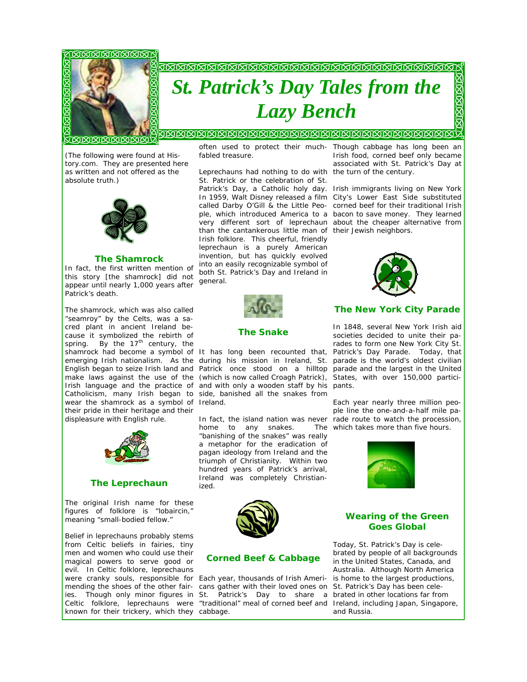

# *St. Patrick's Day Tales from the Lazy Bench*

<u> COOOOOOOOOO</u>

*(The following were found at History.com. They are presented here as written and not offered as the absolute truth.)* 



#### *The Shamrock*

In fact, the first written mention of this story *[the shamrock]* did not appear until nearly 1,000 years after Patrick's death.

The shamrock, which was also called "seamroy" by the Celts, was a sacred plant in ancient Ireland because it symbolized the rebirth of spring. By the  $17<sup>th</sup>$  century, the shamrock had become a symbol of It has long been recounted that, Patrick's Day Parade. Today, that English began to seize Irish land and make laws against the use of the wear the shamrock as a symbol of Ireland. their pride in their heritage and their displeasure with English rule.



#### *The Leprechaun*

The original Irish name for these figures of folklore is "lobaircin," meaning "small-bodied fellow."

Belief in leprechauns probably stems from Celtic beliefs in fairies, tiny men and women who could use their magical powers to serve good or evil. In Celtic folklore, leprechauns were cranky souls, responsible for Each year, thousands of Irish Ameriknown for their trickery, which they cabbage.

often used to protect their much-Though cabbage has long been an fabled treasure.

Leprechauns had nothing to do with the turn of the century. St. Patrick or the celebration of St. than the cantankerous little man of their Jewish neighbors. Irish folklore. This cheerful, friendly leprechaun is a purely American invention, but has quickly evolved into an easily recognizable symbol of both St. Patrick's Day and Ireland in general.



#### *The Snake*

emerging Irish nationalism. As the during his mission in Ireland, St. parade is the world's oldest civilian Irish language and the practice of and with only a wooden staff by his pants. Catholicism, many Irish began to side, banished all the snakes from Patrick once stood on a hilltop parade and the largest in the United (which is now called Croagh Patrick), States, with over 150,000 partici-

> home to any snakes. "banishing of the snakes" was really a metaphor for the eradication of pagan ideology from Ireland and the triumph of Christianity. Within two hundred years of Patrick's arrival, Ireland was completely Christianized.



#### *Corned Beef & Cabbage*

mending the shoes of the other fair-cans gather with their loved ones on ies. Though only minor figures in St. Patrick's Day to share a brated in other locations far from Celtic folklore, leprechauns were "traditional" meal of corned beef and Ireland, including Japan, Singapore,

Irish food, corned beef only became associated with St. Patrick's Day at

Patrick's Day, a Catholic holy day. Irish immigrants living on New York In 1959, Walt Disney released a film City's Lower East Side substituted called Darby O'Gill & the Little Peo-corned beef for their traditional Irish ple, which introduced America to a bacon to save money. They learned very different sort of leprechaun about the cheaper alternative from



#### *The New York City Parade*

In 1848, several New York Irish aid societies decided to unite their parades to form one New York City St.

In fact, the island nation was never rade route to watch the procession, Each year nearly three million people line the one-and-a-half mile pa-The which takes more than five hours.



#### *Wearing of the Green Goes Global*

Today, St. Patrick's Day is celebrated by people of all backgrounds in the United States, Canada, and Australia. Although North America is home to the largest productions, St. Patrick's Day has been celeand Russia.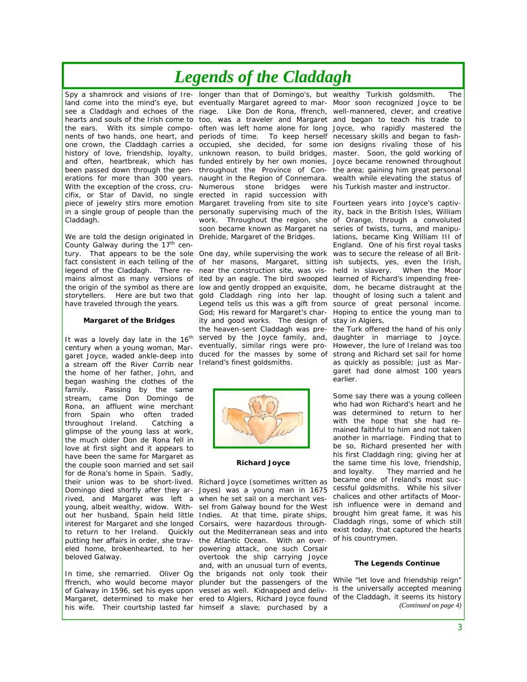# *Legends of the Claddagh*

Claddagh.

We are told the design originated in Drehide, Margaret of the Bridges. County Galway during the  $17<sup>th</sup>$  cenlegend of the Claddagh. There rehave traveled through the years.

#### **Margaret of the Bridges**

It was a lovely day late in the 16<sup>th</sup> century when a young woman, Mara stream off the River Corrib near Ireland's finest goldsmiths. the home of her father, John, and began washing the clothes of the family. Passing by the same stream, came Don Domingo de Rona, an affluent wine merchant from Spain who often traded throughout Ireland. Catching a glimpse of the young lass at work, the much older Don de Rona fell in love at first sight and it appears to have been the same for Margaret as the couple soon married and set sail for de Rona's home in Spain. Sadly, their union was to be short-lived. Richard Joyce (sometimes written as Domingo died shortly after they ar-Joyes) was a young man in 1675 rived, and Margaret was left a when he set sail on a merchant vesyoung, albeit wealthy, widow. With-sel from Galway bound for the West out her husband, Spain held little Indies. At that time, pirate ships, interest for Margaret and she longed Corsairs, were hazardous throughputting her affairs in order, she trav-the Atlantic Ocean. With an overeled home, brokenhearted, to her powering attack, one such Corsair beloved Galway.

his wife. Their courtship lasted far himself a slave; purchased by a

Spy a shamrock and visions of Ire- longer than that of Domingo's, but wealthy Turkish goldsmith. The land come into the mind's eye, but eventually Margaret agreed to mar- Moor soon recognized Joyce to be see a Claddagh and echoes of the riage. Like Don de Rona, ffrench, well-mannered, clever, and creative hearts and souls of the Irish come to too, was a traveler and Margaret and began to teach his trade to the ears. With its simple compo- often was left home alone for long Joyce, who rapidly mastered the nents of two hands, one heart, and periods of time. To keep herself necessary skills and began to fashone crown, the Claddagh carries a occupied, she decided, for some ion designs rivaling those of his history of love, friendship, loyalty, unknown reason, to build bridges, master. Soon, the gold working of and often, heartbreak, which has funded entirely by her own monies, Joyce became renowned throughout been passed down through the gen- throughout the Province of Con- the area; gaining him great personal erations for more than 300 years. naught in the Region of Connemara. wealth while elevating the status of With the exception of the cross, cru- Numerous stone bridges were his Turkish master and instructor. cifix, or Star of David, no single erected in rapid succession with piece of jewelry stirs more emotion Margaret traveling from site to site Fourteen years into Joyce's captivin a single group of people than the personally supervising much of the ity, back in the British Isles, William work. Throughout the region, she of Orange, through a convoluted soon became known as Margaret na series of twists, turns, and manipu-

tury. That appears to be the sole One day, while supervising the work was to secure the release of all Britfact consistent in each telling of the of her masons, Margaret, sitting ish subjects, yes, even the Irish, mains almost as many versions of ited by an eagle. The bird swooped learned of Richard's impending freethe origin of the symbol as there are low and gently dropped an exquisite, dom, he became distraught at the storytellers. Here are but two that gold Claddagh ring into her lap. thought of losing such a talent and garet Joyce, waded ankle-deep into duced for the masses by some of strong and Richard set sail for home near the construction site, was vis-held in slavery. When the Moor Legend tells us this was a gift from source of great personal income. God; His reward for Margaret's char-Hoping to entice the young man to ity and good works. The design of stay in Algiers, the heaven-sent Claddagh was pre-the Turk offered the hand of his only served by the Joyce family, and, daughter in marriage to Joyce. eventually, similar rings were pro-However, the lure of Ireland was too



#### **Richard Joyce**

to return to her Ireland. Quickly out the Mediterranean seas and into exist today, that captured the hearts In time, she remarried. Oliver Og the brigands not only took their ffrench, who would become mayor plunder but the passengers of the While "let love and friendship reign" of Galway in 1596, set his eyes upon vessel as well. Kidnapped and deliv- is the universally accepted meaning Margaret, determined to make her ered to Algiers, Richard Joyce found of the Claddagh, it seems its history overtook the ship carrying Joyce and, with an unusual turn of events,

lations, became King William III of England. One of his first royal tasks

as quickly as possible; just as Margaret had done almost 100 years earlier.

Some say there was a young colleen who had won Richard's heart and he was determined to return to her with the hope that she had remained faithful to him and not taken another in marriage. Finding that to be so, Richard presented her with his first Claddagh ring; giving her at the same time his love, friendship, and loyalty. They married and he became one of Ireland's most successful goldsmiths. While his silver chalices and other artifacts of Moorish influence were in demand and brought him great fame, it was his Claddagh rings, some of which still of his countrymen.

#### **The Legends Continue**

*(Continued on page 4)*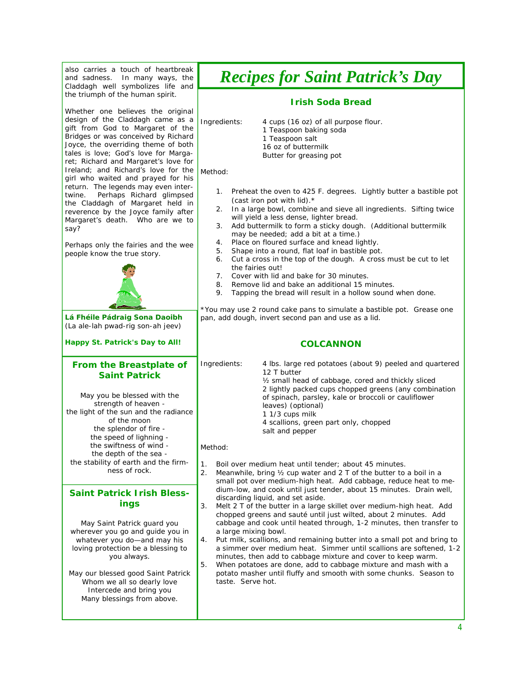| also carries a touch of heartbreak<br>and sadness.<br>In many ways, the<br>Claddagh well symbolizes life and                                                                                                                                                                 | <b>Recipes for Saint Patrick's Day</b>                                                                                                                                                                                                                                                                                                                                                                                                                                                                                                                                                                                                                                                                                                               |  |
|------------------------------------------------------------------------------------------------------------------------------------------------------------------------------------------------------------------------------------------------------------------------------|------------------------------------------------------------------------------------------------------------------------------------------------------------------------------------------------------------------------------------------------------------------------------------------------------------------------------------------------------------------------------------------------------------------------------------------------------------------------------------------------------------------------------------------------------------------------------------------------------------------------------------------------------------------------------------------------------------------------------------------------------|--|
| the triumph of the human spirit.                                                                                                                                                                                                                                             | <b>Irish Soda Bread</b>                                                                                                                                                                                                                                                                                                                                                                                                                                                                                                                                                                                                                                                                                                                              |  |
| Whether one believes the original<br>design of the Claddagh came as a<br>gift from God to Margaret of the<br>Bridges or was conceived by Richard<br>Joyce, the overriding theme of both<br>tales is love; God's love for Marga-<br>ret; Richard and Margaret's love for      | Ingredients:<br>4 cups (16 oz) of all purpose flour.<br>1 Teaspoon baking soda<br>1 Teaspoon salt<br>16 oz of buttermilk<br>Butter for greasing pot                                                                                                                                                                                                                                                                                                                                                                                                                                                                                                                                                                                                  |  |
| Ireland; and Richard's love for the<br>girl who waited and prayed for his<br>return. The legends may even inter-<br>Perhaps Richard glimpsed<br>twine.<br>the Claddagh of Margaret held in<br>reverence by the Joyce family after<br>Margaret's death. Who are we to<br>say? | Method:<br>Preheat the oven to 425 F. degrees. Lightly butter a bastible pot<br>1.<br>(cast iron pot with lid).*<br>In a large bowl, combine and sieve all ingredients. Sifting twice<br>2.<br>will yield a less dense, lighter bread.<br>Add buttermilk to form a sticky dough. (Additional buttermilk<br>3.<br>may be needed; add a bit at a time.)                                                                                                                                                                                                                                                                                                                                                                                                |  |
| Perhaps only the fairies and the wee<br>people know the true story.                                                                                                                                                                                                          | Place on floured surface and knead lightly.<br>4.<br>Shape into a round, flat loaf in bastible pot.<br>5.<br>Cut a cross in the top of the dough. A cross must be cut to let<br>6.<br>the fairies out!<br>Cover with lid and bake for 30 minutes.<br>7.<br>Remove lid and bake an additional 15 minutes.<br>8.<br>9.<br>Tapping the bread will result in a hollow sound when done.                                                                                                                                                                                                                                                                                                                                                                   |  |
| Lá Fhéile Pádraig Sona Daoibh                                                                                                                                                                                                                                                | *You may use 2 round cake pans to simulate a bastible pot. Grease one<br>pan, add dough, invert second pan and use as a lid.                                                                                                                                                                                                                                                                                                                                                                                                                                                                                                                                                                                                                         |  |
| (La ale-lah pwad-rig son-ah jeev)                                                                                                                                                                                                                                            |                                                                                                                                                                                                                                                                                                                                                                                                                                                                                                                                                                                                                                                                                                                                                      |  |
| Happy St. Patrick's Day to All!                                                                                                                                                                                                                                              | <b>COLCANNON</b>                                                                                                                                                                                                                                                                                                                                                                                                                                                                                                                                                                                                                                                                                                                                     |  |
| <b>From the Breastplate of</b><br><b>Saint Patrick</b><br>May you be blessed with the<br>strength of heaven -<br>the light of the sun and the radiance<br>of the moon<br>the splendor of fire -<br>the speed of lighning -                                                   | Ingredients:<br>4 lbs. large red potatoes (about 9) peeled and quartered<br>12 T butter<br>1/2 small head of cabbage, cored and thickly sliced<br>2 lightly packed cups chopped greens (any combination<br>of spinach, parsley, kale or broccoli or cauliflower<br>leaves) (optional)<br>1 1/3 cups milk<br>4 scallions, green part only, chopped<br>salt and pepper<br>Method:                                                                                                                                                                                                                                                                                                                                                                      |  |
| the swiftness of wind -<br>the depth of the sea -                                                                                                                                                                                                                            |                                                                                                                                                                                                                                                                                                                                                                                                                                                                                                                                                                                                                                                                                                                                                      |  |
| the stability of earth and the firm-<br>ness of rock.                                                                                                                                                                                                                        | 1.<br>Boil over medium heat until tender; about 45 minutes.<br>2.<br>Meanwhile, bring 1/2 cup water and 2 T of the butter to a boil in a<br>small pot over medium-high heat. Add cabbage, reduce heat to me-                                                                                                                                                                                                                                                                                                                                                                                                                                                                                                                                         |  |
| <b>Saint Patrick Irish Bless-</b><br>ings                                                                                                                                                                                                                                    | dium-low, and cook until just tender, about 15 minutes. Drain well,<br>discarding liquid, and set aside.<br>3.<br>Melt 2 T of the butter in a large skillet over medium-high heat. Add<br>chopped greens and sauté until just wilted, about 2 minutes. Add<br>cabbage and cook until heated through, 1-2 minutes, then transfer to<br>a large mixing bowl.<br>4.<br>Put milk, scallions, and remaining butter into a small pot and bring to<br>a simmer over medium heat. Simmer until scallions are softened, 1-2<br>minutes, then add to cabbage mixture and cover to keep warm.<br>5.<br>When potatoes are done, add to cabbage mixture and mash with a<br>potato masher until fluffy and smooth with some chunks. Season to<br>taste. Serve hot. |  |
| May Saint Patrick guard you<br>wherever you go and guide you in<br>whatever you do-and may his<br>loving protection be a blessing to<br>you always.                                                                                                                          |                                                                                                                                                                                                                                                                                                                                                                                                                                                                                                                                                                                                                                                                                                                                                      |  |
| May our blessed good Saint Patrick<br>Whom we all so dearly love<br>Intercede and bring you<br>Many blessings from above.                                                                                                                                                    |                                                                                                                                                                                                                                                                                                                                                                                                                                                                                                                                                                                                                                                                                                                                                      |  |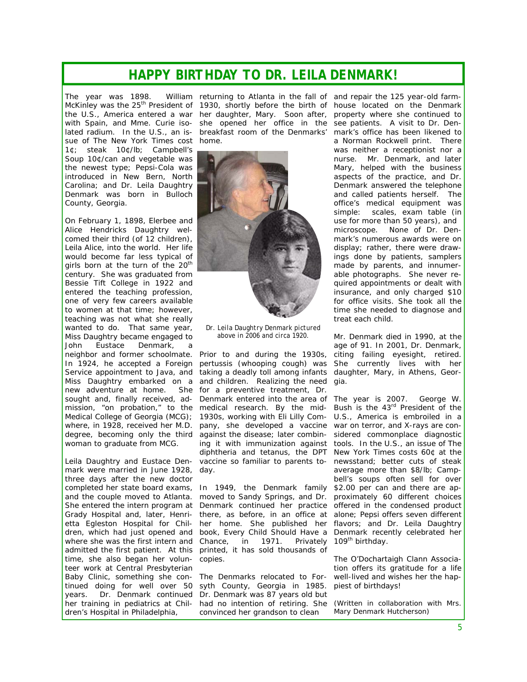### *HAPPY BIRTHDAY TO DR. LEILA DENMARK!*

The year was 1898. the U.S., America entered a war her daughter, Mary. Soon after, lated radium. In the U.S., an issue of *The New York Times* cost home. 1¢; steak 10¢/lb; Campbell's Soup 10¢/can and vegetable was the newest type; Pepsi-Cola was introduced in New Bern, North Carolina; and Dr. Leila Daughtry Denmark was born in Bulloch County, Georgia.

On February 1, 1898, Elerbee and Alice Hendricks Daughtry welcomed their third (of 12 children), Leila Alice, into the world. Her life would become far less typical of girls born at the turn of the 20<sup>th</sup> century. She was graduated from Bessie Tift College in 1922 and entered the teaching profession, one of very few careers available to women at that time; however, teaching was not what she really wanted to do. That same year, Miss Daughtry became engaged to John Eustace Denmark, neighbor and former schoolmate. In 1924, he accepted a Foreign Service appointment to Java, and new adventure at home. She sought and, finally received, admission, "on probation," to the medical research. By the mid-Medical College of Georgia (MCG); where, in 1928, received her M.D. degree, becoming only the third woman to graduate from MCG.

Leila Daughtry and Eustace Denmark were married in June 1928, day. three days after the new doctor and the couple moved to Atlanta. Grady Hospital and, later, Henrietta Egleston Hospital for Children, which had just opened and where she was the first intern and admitted the first patient. At this time, she also began her volunteer work at Central Presbyterian Baby Clinic, something she continued doing for well over 50 years. Dr. Denmark continued her training in pediatrics at Children's Hospital in Philadelphia,

McKinley was the 25<sup>th</sup> President of 1930, shortly before the birth of house located on the Denmark with Spain, and Mme. Curie iso- she opened her office in the see patients. A visit to Dr. Denreturning to Atlanta in the fall of and repair the 125 year-old farmbreakfast room of the Denmarks'



*Dr. Leila Daughtry Denmark pictured above in 2006 and circa 1920.* 

Miss Daughtry embarked on a and children. Realizing the need Prior to and during the 1930s, pertussis (whooping cough) was taking a deadly toll among infants for a preventive treatment, Dr. Denmark entered into the area of The year is 2007. George W. 1930s, working with Eli Lilly Company, she developed a vaccine war on terror, and X-rays are conagainst the disease; later combin-sidered commonplace diagnostic ing it with immunization against tools. In the U.S., an issue of *The* diphtheria and tetanus, the DPT *New York Times* costs 60¢ at the vaccine so familiar to parents to-newsstand; better cuts of steak

completed her state board exams, In 1949, the Denmark family \$2.00 per can and there are ap-She entered the intern program at Denmark continued her practice offered in the condensed product moved to Sandy Springs, and Dr. proximately 60 different choices there, as before, in an office at alone; Pepsi offers seven different her home. She published her flavors; and Dr. Leila Daughtry book, *Every Child Should Have a Chance*, in 1971. Privately printed, it has sold thousands of copies.

> The Denmarks relocated to Forsyth County, Georgia in 1985. Dr. Denmark was 87 years old but had no intention of retiring. She convinced her grandson to clean

property where she continued to mark's office has been likened to a Norman Rockwell print. There was neither a receptionist nor a nurse. Mr. Denmark, and later Mary, helped with the business aspects of the practice, and Dr. Denmark answered the telephone and called patients herself. The office's medical equipment was simple: scales, exam table (in use for more than 50 years), and microscope. None of Dr. Denmark's numerous awards were on display; rather, there were drawings done by patients, samplers made by parents, and innumerable photographs. She never required appointments or dealt with insurance, and only charged \$10 for office visits. She took all the time she needed to diagnose and treat each child.

Mr. Denmark died in 1990, at the age of 91. In 2001, Dr. Denmark, citing failing eyesight, retired. She currently lives with her daughter, Mary, in Athens, Georgia.

Bush is the 43rd President of the U.S., America is embroiled in a average more than \$8/lb; Campbell's soups often sell for over Denmark recently celebrated her 109<sup>th</sup> birthday.

The O'Dochartaigh Clann Association offers its gratitude for a life well-lived and wishes her the happiest of birthdays!

*(Written in collaboration with Mrs. Mary Denmark Hutcherson)*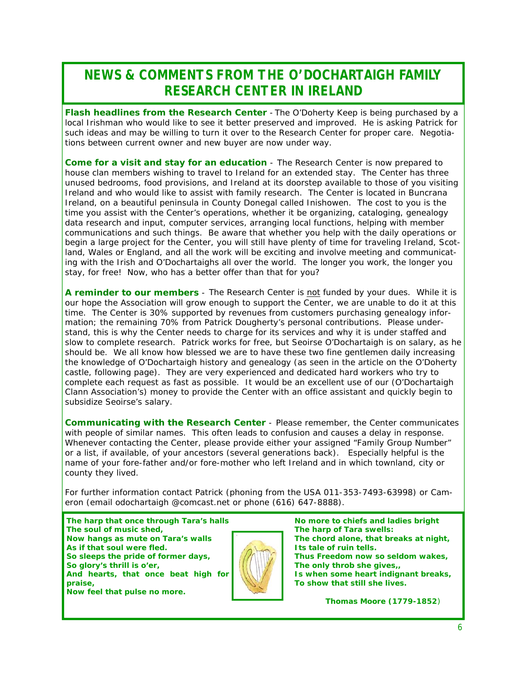## *NEWS & COMMENTS FROM THE O'DOCHARTAIGH FAMILY RESEARCH CENTER IN IRELAND*

*Flash headlines from the Research Center* - The O'Doherty Keep is being purchased by a local Irishman who would like to see it better preserved and improved. He is asking Patrick for such ideas and may be willing to turn it over to the Research Center for proper care. Negotiations between current owner and new buyer are now under way.

*Come for a visit and stay for an education* - The Research Center is now prepared to house clan members wishing to travel to Ireland for an extended stay. The Center has three unused bedrooms, food provisions, and Ireland at its doorstep available to those of you visiting Ireland and who would like to assist with family research. The Center is located in Buncrana Ireland, on a beautiful peninsula in County Donegal called Inishowen. The cost to you is the time you assist with the Center's operations, whether it be organizing, cataloging, genealogy data research and input, computer services, arranging local functions, helping with member communications and such things. Be aware that whether you help with the daily operations or begin a large project for the Center, you will still have plenty of time for traveling Ireland, Scotland, Wales or England, and all the work will be exciting and involve meeting and communicating with the Irish and O'Dochartaighs all over the world. The longer you work, the longer you stay, for free! Now, who has a better offer than that for you?

*A reminder to our members* - The Research Center is not funded by your dues. While it is our hope the Association will grow enough to support the Center, we are unable to do it at this time. The Center is 30% supported by revenues from customers purchasing genealogy information; the remaining 70% from Patrick Dougherty's personal contributions. Please understand, this is why the Center needs to charge for its services and why it is under staffed and slow to complete research. Patrick works for free, but Seoirse O'Dochartaigh is on salary, as he should be. We all know how blessed we are to have these two fine gentlemen daily increasing the knowledge of O'Dochartaigh history and genealogy (as seen in the article on the O'Doherty castle, following page). They are very experienced and dedicated hard workers who try to complete each request as fast as possible. It would be an excellent use of our (O'Dochartaigh Clann Association's) money to provide the Center with an office assistant and quickly begin to subsidize Seoirse's salary.

*Communicating with the Research Center* - Please remember, the Center communicates with people of similar names. This often leads to confusion and causes a delay in response. Whenever contacting the Center, please provide either your assigned "Family Group Number" or a list, if available, of your ancestors (several generations back). Especially helpful is the name of your fore-father and/or fore-mother who left Ireland and in which townland, city or county they lived.

For further information contact Patrick (phoning from the USA 011-353-7493-63998) or Cameron (email odochartaigh @comcast.net or phone (616) 647-8888).

*The harp that once through Tara's halls The soul of music shed, Now hangs as mute on Tara's walls As if that soul were fled. So sleeps the pride of former days, So glory's thrill is o'er, And hearts, that once beat high for praise, Now feel that pulse no more.* 



*No more to chiefs and ladies bright The harp of Tara swells: The chord alone, that breaks at night, Its tale of ruin tells. Thus Freedom now so seldom wakes, The only throb she gives,, Is when some heart indignant breaks, To show that still she lives.* 

*Thomas Moore (1779-1852)*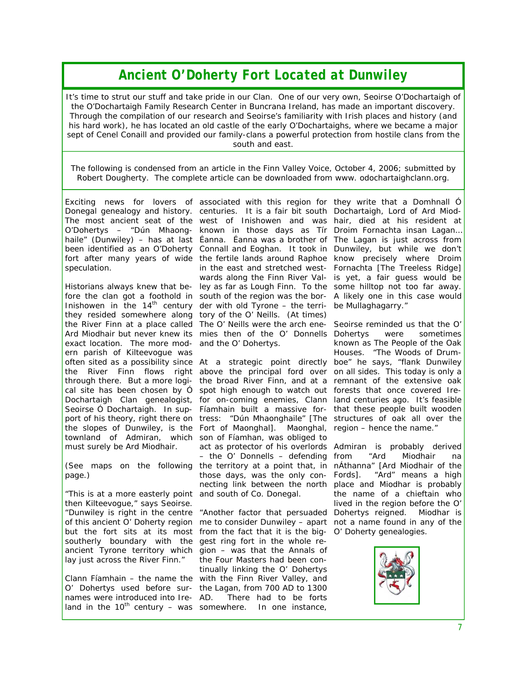### *Ancient O'Doherty Fort Located at Dunwiley*

It's time to strut our stuff and take pride in our Clan. One of our very own, Seoirse O'Dochartaigh of *the O'Dochartaigh Family Research Center in Buncrana Ireland, has made an important discovery. Through the compilation of our research and Seoirse's familiarity with Irish places and history (and his hard work), he has located an old castle of the early O'Dochartaighs, where we became a major sept of Cenel Conaill and provided our family-clans a powerful protection from hostile clans from the south and east.* 

*The following is condensed from an article in the Finn Valley Voice, October 4, 2006; submitted by Robert Dougherty. The complete article can be downloaded from www. odochartaighclann.org.* 

Exciting news for lovers of associated with this region for they write that a Domhnall O Donegal genealogy and history. centuries. It is a fair bit south Dochartaigh, Lord of Ard Miod-The most ancient seat of the west of Inishowen and was hair, died at his resident at O'Dohertys – "Dún Mhaong-known in those days as Tír Droim Fornachta insan Lagan… haile" (Dunwiley) – has at last Éanna. Éanna was a brother of The Lagan is just across from been identified as an O'Doherty Connall and Eoghan. It took in Dunwiley, but while we don't fort after many years of wide the fertile lands around Raphoe know precisely where Droim speculation.

Historians always knew that be-ley as far as Lough Finn. To the some hilltop not too far away. fore the clan got a foothold in south of the region was the bor- A likely one in this case would Inishowen in the  $14<sup>th</sup>$  century der with old Tyrone – the terri- be Mullaghagarry." they resided somewhere along tory of the O' Neills. (At times) the River Finn at a place called The O' Neills were the arch ene- Seoirse reminded us that the O' Ard Miodhair but never knew its mies then of the O' Donnells exact location. The more mod-and the O' Dohertys. ern parish of Kilteevogue was townland of Admiran, which son of Fíamhan, was obliged to must surely be Ard Miodhair.

*page.)* 

"This is at a more easterly point and south of Co. Donegal. then Kilteevogue," says Seoirse. southerly boundary with the gest ring fort in the whole relay just across the River Finn."

names were introduced into Ireland in the  $10^{th}$  century – was somewhere. In one instance,

in the east and stretched west-Fornachta [The Treeless Ridge] wards along the Finn River Val-is yet, a fair guess would be

often sited as a possibility since At a strategic point directly boe" he says, "flank Dunwiley the River Finn flows right above the principal ford over on-all-sides. This-today is only a through there. But a more logi- the broad River Finn, and at a remnant of the extensive oak cal site has been chosen by Ó spot high enough to watch out forests that once covered Ire-Dochartaigh Clan genealogist, for on-coming enemies, Clann land centuries ago. It's feasible Seoirse Ó Dochartaigh. In sup- Fíamhain built a massive for- that these people built wooden port of his theory, right there on tress: "Dún Mhaonghaile" [The structures of oak all over the the slopes of Dunwiley, is the Fort of Maonghal]. Maonghal, region – hence the name." (See maps on the following the territory at a point that, in nÁthanna" [Ard Miodhair of the act as protector of his overlords Admiran is probably derived – the O' Donnells – defending those days, was the only con- Fords1. necting link between the north place and Miodhar is probably

"Dunwiley is right in the centre "Another factor that persuaded Dohertys reigned. Miodhar is of this ancient O' Doherty region me to consider Dunwiley – apart not a name found in any of the but the fort sits at its most from the fact that it is the big-O' Doherty genealogies. ancient Tyrone territory which gion – was that the Annals of Clann Fíamhain – the name the with the Finn River Valley, and O' Dohertys used before sur-the Lagan, from 700 AD to 1300 the Four Masters had been continually linking the O' Dohertys There had to be forts

were sometimes known as The People of the Oak Houses. "The Woods of Drum-

"Ard Miodhair na "Ard" means a high the name of a chieftain who lived in the region before the O'

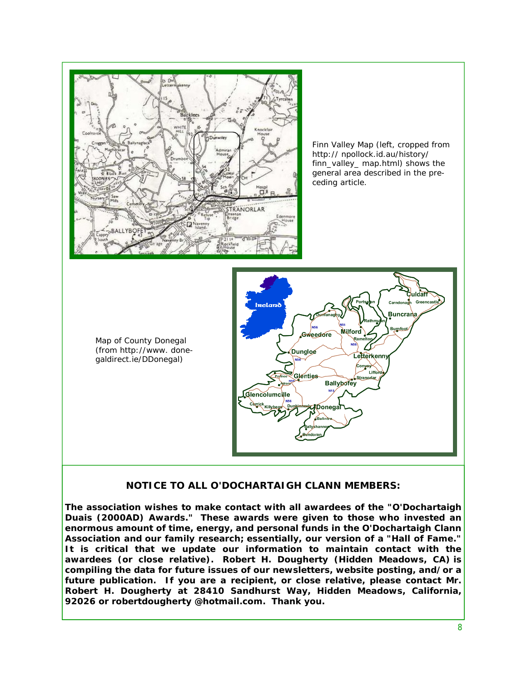

#### **NOTICE TO ALL O'DOCHARTAIGH CLANN MEMBERS:**

**The association wishes to make contact with all awardees of the "O'Dochartaigh Duais (2000AD) Awards." These awards were given to those who invested an enormous amount of time, energy, and personal funds in the O'Dochartaigh Clann Association and our family research; essentially, our version of a "Hall of Fame." It is critical that we update our information to maintain contact with the awardees (or close relative). Robert H. Dougherty (Hidden Meadows, CA) is compiling the data for future issues of our newsletters, website posting, and/or a future publication. If you are a recipient, or close relative, please contact Mr. Robert H. Dougherty at 28410 Sandhurst Way, Hidden Meadows, California, 92026 or robertdougherty @hotmail.com. Thank you.**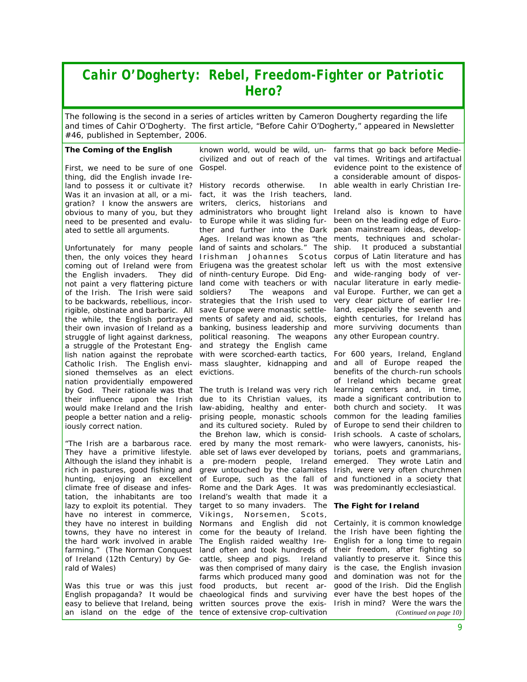### *Cahir O'Dogherty: Rebel, Freedom-Fighter or Patriotic Hero?*

The following is the second in a series of articles written by Cameron Dougherty regarding the life *and times of Cahir O'Dogherty. The first article, "Before Cahir O'Dogherty," appeared in Newsletter #46, published in September, 2006.* 

#### **The Coming of the English**

First, we need to be sure of one Gospel. thing, did the English invade Ireland to possess it or cultivate it? History records otherwise. In Was it an invasion at all, or a migration? I know the answers are writers, clerics, historians and ated to settle all arguments.

the English invaders. of the Irish. The Irish were said soldiers? struggle of light against darkness, political reasoning. The weapons a struggle of the Protestant Eng-and strategy the English came lish nation against the reprobate with were scorched-earth tactics, sioned themselves as an elect evictions. nation providentially empowered by God. Their rationale was that The truth is Ireland was very rich learning centers and, in time, iously correct nation.

*"The Irish are a barbarous race. They have a primitive lifestyle. climate free of disease and infestation, the inhabitants are too*  Ireland's wealth that made it a *have no interest in commerce,*  Vikings, Norsemen, Scots, *the hard work involved in arable*  The English raided wealthy Ire*farming." (The Norman Conquest*  land often and took hundreds of *rald of Wales)* 

easy to believe that Ireland, being written sources prove the exisan island on the edge of the tence of extensive crop-cultivation

known world, would be wild, uncivilized and out of reach of the val times. Writings and artifactual

obvious to many of you, but they administrators who brought light Ireland also is known to have need to be presented and evalu- to Europe while it was sliding fur- been on the leading edge of Euro-Unfortunately for many people land of saints and scholars." The ship. It produced a substantial then, the only voices they heard Irishman Johannes Scotus corpus of Latin literature and has coming out of Ireland were from Eriugena was the greatest scholar left us with the most extensive not paint a very flattering picture land come with teachers or with nacular literature in early medieto be backwards, rebellious, incor- strategies that the Irish used to very clear picture of earlier Irerigible, obstinate and barbaric. All save Europe were monastic settle- land, especially the seventh and the while, the English portrayed ments of safety and aid, schools, eighth centuries, for Ireland has their own invasion of Ireland as a banking, business leadership and more surviving documents than Catholic Irish. The English envi- mass slaughter, kidnapping and and all of Europe reaped the fact, it was the Irish teachers, ther and further into the Dark pean mainstream ideas, develop-Ages. Ireland was known as "the ments, techniques and scholarof ninth-century Europe. Did Eng-and wide-ranging body of versoldiers? The weapons and val Europe. Further, we can get a

their influence upon the Irish due to its Christian values, its made a significant contribution to would make Ireland and the Irish law-abiding, healthy and enter- both church and society. It was people a better nation and a relig- prising people, monastic schools common for the leading families Although the island they inhabit is a pre-modern people, Ireland emerged. They wrote Latin and rich in pastures, good fishing and grew untouched by the calamites Irish, were very often churchmen hunting, enjoying an excellent of Europe, such as the fall of and functioned in a society that lazy to exploit its potential. They target to so many invaders. The **The Fight for Ireland** *they have no interest in building*  Normans and English did not Certainly, it is common knowledge towns, they have no interest in come for the beauty of Ireland. the Irish have been fighting the *of Ireland (12th Century) by Ge-*cattle, sheep and pigs. Ireland valiantly to preserve it. Since this Was this true or was this just food products, but recent ar- good of the Irish. Did the English English propaganda? It would be chaeological finds and surviving ever have the best hopes of the and its cultured society. Ruled by of Europe to send their children to the Brehon law, which is consid-Irish schools. A caste of scholars, ered by many the most remark-who were lawyers, canonists, hisable set of laws ever developed by torians, poets and grammarians, Rome and the Dark Ages. It was was predominantly ecclesiastical. was then comprised of many dairy farms which produced many good

farms that go back before Medieevidence point to the existence of a considerable amount of dispos-In able wealth in early Christian Ireland.

any other European country.

For 600 years, Ireland, England benefits of the church-run schools of Ireland which became great

English for a long time to regain their freedom, after fighting so is the case, the English invasion and domination was not for the Irish in mind? Were the wars the *(Continued on page 10)*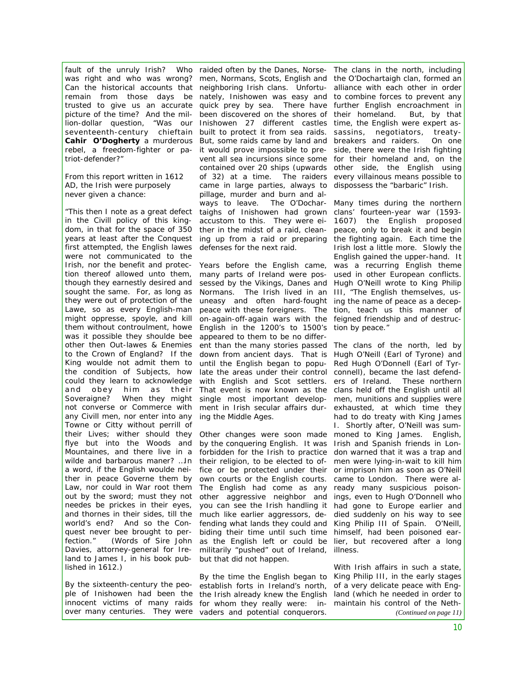seventeenth-century chieftain **Cahir O'Dogherty** a murderous triot-defender?"

From this report written in 1612 AD, the Irish were purposely never given a chance:

*"This then I note as a great defect in the Civill policy of this kingfirst attempted, the English lawes*  defenses for the next raid. *were not communicated to the was it possible they shoulde bee*  appeared to them to be no differ*any Civill men, nor enter into any*  ing the Middle Ages. *Towne or Citty without perrill of world's end? And so the Conquest never bee brought to perfection." (Words of Sire John Davies, attorney-general for Ireland to James I, in his book pub-*but that did not happen. *lished in 1612.)* 

By the sixteenth-century the peo-

fault of the unruly Irish? Who raided often by the Danes, Norse- The clans in the north, including was right and who was wrong? men, Normans, Scots, English and the O'Dochartaigh clan, formed an Can the historical accounts that neighboring Irish clans. Unfortu- alliance with each other in order remain from those days be nately, Inishowen was easy and to combine forces to prevent any trusted to give us an accurate quick prey by sea. There have further English encroachment in picture of the time? And the mil-been discovered on the shores of their homeland. But, by that lion-dollar question, "Was our Inishowen 27 different castles time, the English were expert asrebel, a freedom-fighter or pa-it would prove impossible to pre-side, there were the Irish fighting dom, in that for the space of 350 ther in the midst of a raid, clean- peace, only to break it and begin *years at least after the Conquest*  ing up from a raid or preparing the fighting again. Each time the built to protect it from sea raids. But, some raids came by land and vent all sea incursions since some for their homeland and, on the contained over 20 ships (upwards other side, the English using of 32) at a time. The raiders every villainous means possible to came in large parties, always to dispossess the "barbaric" Irish. pillage, murder and burn and always to leave. The O'Dochar-Many times during the northern taighs of Inishowen had grown clans' fourteen-year war (1593 accustom to this. They were ei-1607) the English proposed

Irish, nor the benefit and protec- Years before the English came, was a recurring English theme *tion thereof allowed unto them,*  many parts of Ireland were pos-used in other European conflicts. *though they earnestly desired and*  sessed by the Vikings, Danes and Hugh O'Neill wrote to King Philip sought the same. For, as long as Normans. The Irish lived in an III, "The English themselves, usthey were out of protection of the uneasy and often hard-fought ing the name of peace as a decep-Lawe, so as every English-man peace with these foreigners. The tion, teach us this manner of might oppresse, spoyle, and kill on-again-off-again wars with the feigned friendship and of destructhem without controulment, howe English in the 1200's to 1500's tion by peace." other then Out-lawes & Enemies ent than the many stories passed The clans of the north, led by to the Crown of England? If the down from ancient days. That is Hugh O'Neill (Earl of Tyrone) and King woulde not admit them to until the English began to popu- Red Hugh O'Donnell (Earl of Tyrthe condition of Subjects, how late the areas under their control connell), became the last defend*could they learn to acknowledge*  with English and Scot settlers. ers of Ireland. These northern and obey him as their That event is now known as the clans held off the English until all Soveraigne? When they might single most important develop- men, munitions and supplies were not converse or Commerce with ment in Irish secular affairs dur- exhausted, at which time they

*their Lives; wither should they*  Other changes were soon made moned to King James. English, flye but into the Woods and by the conquering English. It was Irish and Spanish friends in Lon-Mountaines, and there live in a forbidden for the Irish to practice don warned that it was a trap and wilde and barbarous maner? ...In their religion, to be elected to of- men were lying-in-wait to kill him a word, if the English woulde nei- fice or be protected under their or imprison him as soon as O'Neill ther in peace Governe them by own courts or the English courts. came to London. There were al-Law, nor could in War root them The English had come as any ready many suspicious poisonout by the sword; must they not other aggressive neighbor and ings, even to Hugh O'Donnell who needes be prickes in their eyes, you can see the Irish handling it had gone to Europe earlier and *and thornes in their sides, till the*  much like earlier aggressors, de-died suddenly on his way to see fending what lands they could and King Philip III of Spain. O'Neill, biding their time until such time himself, had been poisoned earas the English left or could be lier, but recovered after a long militarily "pushed" out of Ireland, illness.

ple of Inishowen had been the the Irish already knew the English land (which he needed in order to innocent victims of many raids for whom they really were: in-maintain his control of the Neth over many centuries. They were vaders and potential conquerors. By the time the English began to King Philip III, in the early stages establish forts in Ireland's north, of a very delicate peace with Eng-

sassins, negotiators, treatybreakers and raiders. On one

Irish lost a little more. Slowly the English gained the upper-hand. It

had to do treaty with King James I. Shortly after, O'Neill was sum-

With Irish affairs in such a state, *(Continued on page 11)*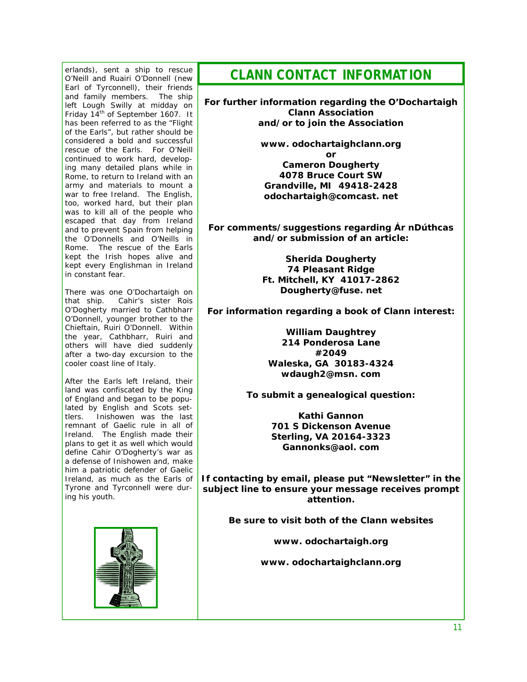erlands), sent a ship to rescue O'Neill and Ruairi O'Donnell (new Earl of Tyrconnell), their friends and family members. The ship left Lough Swilly at midday on Friday 14<sup>th</sup> of September 1607. It has been referred to as the "Flight of the Earls", but rather should be considered a bold and successful rescue of the Earls. For O'Neill continued to work hard, developing many detailed plans while in Rome, to return to Ireland with an army and materials to mount a war to free Ireland. The English, too, worked hard, but their plan was to kill all of the people who escaped that day from Ireland and to prevent Spain from helping the O'Donnells and O'Neills in Rome. The rescue of the Earls kept the Irish hopes alive and kept every Englishman in Ireland in constant fear.

There was one O'Dochartaigh on that ship. Cahir's sister Rois O'Dogherty married to Cathbharr O'Donnell, younger brother to the Chieftain, Ruiri O'Donnell. Within the year, Cathbharr, Ruiri and others will have died suddenly after a two-day excursion to the cooler coast line of Italy.

After the Earls left Ireland, their land was confiscated by the King of England and began to be populated by English and Scots settlers. Inishowen was the last remnant of Gaelic rule in all of Ireland. The English made their plans to get it as well which would define Cahir O'Dogherty's war as a defense of Inishowen and, make him a patriotic defender of Gaelic Ireland, as much as the Earls of Tyrone and Tyrconnell were during his youth.



*CLANN CONTACT INFORMATION* 

**For further information regarding the O'Dochartaigh Clann Association and/or to join the Association** 

> **www. odochartaighclann.org or Cameron Dougherty 4078 Bruce Court SW Grandville, MI 49418-2428 odochartaigh@comcast. net**

**For comments/suggestions regarding** *Ár nDúthcas*  **and/or submission of an article:** 

> **Sherida Dougherty 74 Pleasant Ridge Ft. Mitchell, KY 41017-2862 Dougherty@fuse. net**

**For information regarding a book of Clann interest:** 

**William Daughtrey 214 Ponderosa Lane #2049 Waleska, GA 30183-4324 wdaugh2@msn. com** 

**To submit a genealogical question:** 

**Kathi Gannon 701 S Dickenson Avenue Sterling, VA 20164-3323 Gannonks@aol. com** 

**If contacting by email, please put "Newsletter" in the subject line to ensure your message receives prompt attention.** 

**Be sure to visit both of the Clann websites** 

**www. odochartaigh.org** 

**www. odochartaighclann.org**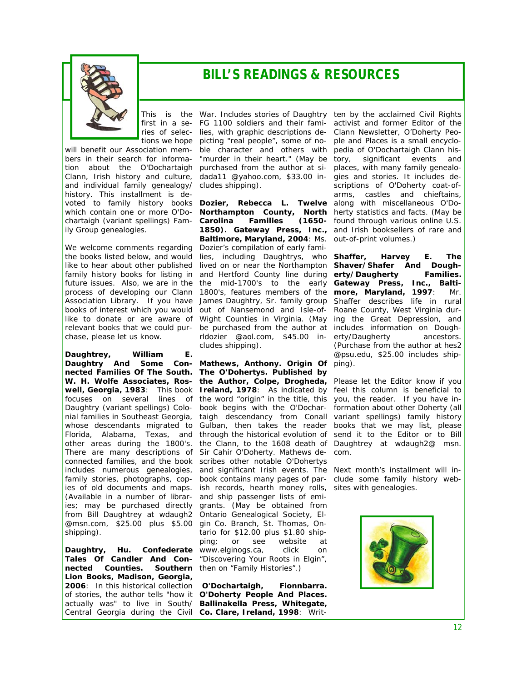

### *BILL'S READINGS & RESOURCES*

bers in their search for information about the O'Dochartaigh and individual family genealogy/ cludes shipping). history. This installment is dechartaigh (variant spellings) Fam- Carolina ily Group genealogies.

We welcome comments regarding Dozier's compilation of early famichase, please let us know.

**Daughtrey, William E.**  *Daughtry And Some Con-***Mathews, Anthony.** *Origin Of*  ping). (Available in a number of librar-and ship passenger lists of emifrom Bill Daughtrey at wdaugh2 Ontario Genealogical Society, El-@msn.com, \$25.00 plus \$5.00 gin Co. Branch, St. Thomas, Onshipping).

 $nected$  *Counties.* **Lion Books, Madison, Georgia,** 

This is the War. Includes stories of Daughtry ten by the acclaimed Civil Rights first in a se-FG 1100 soldiers and their fami-activist and former Editor of the ries of selec-lies, with graphic descriptions de-Clann Newsletter, *O'Doherty Peo*tions we hope picting "real people", some of no-*ple and Places* is a small encyclowill benefit our Association mem- ble character and others with pedia of O'Dochartaigh Clann his-Clann, Irish history and culture, dada11 @yahoo.com, \$33.00 in- gies and stories. It includes de-"murder in their heart." (May be purchased from the author at si-

voted to family history books **Dozier, Rebecca L.** *Twelve*  along with miscellaneous O'Dowhich contain one or more O'Do- **Northampton County, North** herty statistics and facts. (May be the books listed below, and would lies, including Daughtrys, who **Shaffer, Harvey E. The** like to hear about other published lived on or near the Northampton Shaver/Shafer And Doughfamily history books for listing in and Hertford County line during *erty/Daugherty Families.* future issues. Also, we are in the the mid-1700's to the early Gateway Press, Inc., Baltiprocess of developing our Clann 1800's, features members of the **more, Maryland, 1997**: Mr. Association Library. If you have James Daughtry, Sr. family group Shaffer describes life in rural books of interest which you would out of Nansemond and Isle-of- Roane County, West Virginia durlike to donate or are aware of Wight Counties in Virginia. (May ing the Great Depression, and relevant books that we could pur- be purchased from the author at includes information on Dough-*Carolina Families (1650-* found through various online U.S. 1850). Gateway Press, Inc., and Irish booksellers of rare and **Baltimore, Maryland, 2004**: Ms. out-of-print volumes.) rldozier @aol.com, \$45.00 in-erty/Daugherty ancestors. cludes shipping).

*nected Families Of The South. The O'Dohertys.* **Published by W. H. Wolfe Associates, Ros-the Author, Colpe, Drogheda, well, Georgia, 1983**: This book **Ireland, 1978**: As indicated by feel this column is beneficial to focuses on several lines of the word "origin" in the title, this you, the reader. If you have in-Daughtry (variant spellings) Colo- book begins with the O'Dochar- formation about other Doherty (all nial families in Southeast Georgia, taigh descendancy from Conall variant spellings) family history whose descendants migrated to Gulban, then takes the reader books that we may list, please Florida, Alabama, Texas, and through the historical evolution of send it to the Editor or to Bill other areas during the 1800's. the Clann, to the 1608 death of Daughtrey at wdaugh2@ msn. There are many descriptions of Sir Cahir O'Doherty. Mathews de-com. connected families, and the book scribes other notable O'Dohertys includes numerous genealogies, and significant Irish events. The Next month's installment will infamily stories, photographs, cop- book contains many pages of par- clude some family history webies of old documents and maps. ish records, hearth money rolls, sites with genealogies. ies; may be purchased directly grants. (May be obtained from **Daughtry, Hu.** *Confederate*  www.elginogs.ca, click on *Tales Of Candler And Con-*"Discovering Your Roots in Elgin", tario for \$12.00 plus \$1.80 shipping; or see website at Southern then on "Family Histories".)

**2006**: In this historical collection **O'Dochartaigh, Fionnbarra.**  of stories, the author tells "how it *O'Doherty People And Places.*  actually was" to live in South/ **Ballinakella Press, Whitegate,**  Central Georgia during the Civil **Co. Clare, Ireland, 1998**: Writ-

tory, significant events and places, with many family genealoscriptions of O'Doherty coat-ofarms, castles and chieftains,

(Purchase from the author at hes2 @psu.edu, \$25.00 includes ship-

Please let the Editor know if you

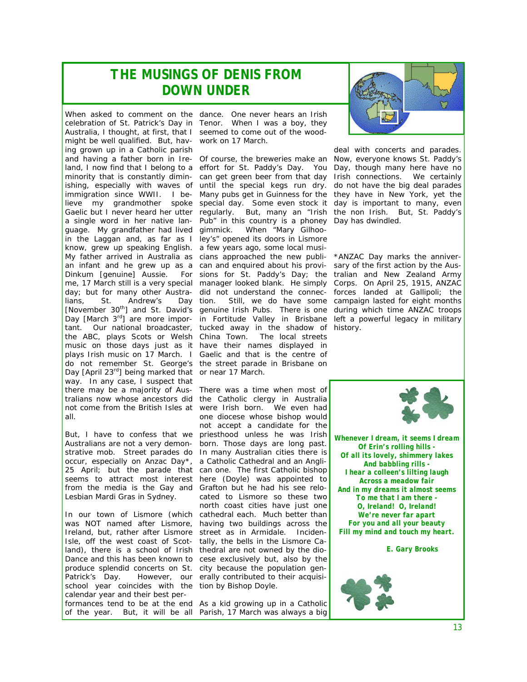### *THE MUSINGS OF DENIS FROM DOWN UNDER*

When asked to comment on the dance. One never hears an Irish celebration of St. Patrick's Day in Tenor. When I was a boy, they Australia, I thought, at first, that I seemed to come out of the woodmight be well qualified. But, hav-work on 17 March. ing grown up in a Catholic parish guage. My grandfather had lived in the Laggan and, as far as I ley's" opened its doors in Lismore know, grew up speaking English. a few years ago, some local musilians, St. Andrew's the ABC, plays Scots or Welsh China Town. The local streets music on those days just as it have their names displayed in plays Irish music on 17 March. I Gaelic and that is the centre of do not remember St. George's the street parade in Brisbane on Day *[April 23rd]* being marked that or near 17 March. way. In any case, I suspect that there may be a majority of Aus-There was a time when most of all.

But, I have to confess that we priesthood unless he was Irish Australians are not a very demon-born. Those days are long past. strative mob. Street parades do In many Australian cities there is occur, especially on Anzac Day\*, a Catholic Cathedral and an Angli-25 April; but the parade that can one. The first Catholic bishop seems to attract most interest here (Doyle) was appointed to from the media is the Gay and Grafton but he had his see relo-Lesbian Mardi Gras in Sydney.

Ireland, but, rather after Lismore street as in Armidale. Inciden-Isle, off the west coast of Scot-tally, the bells in the Lismore Caland), there is a school of Irish thedral are not owned by the dioproduce splendid concerts on St. city because the population gen-Patrick's Day. However, our erally contributed to their acquisischool year coincides with the tion by Bishop Doyle. calendar year and their best performances tend to be at the end As a kid growing up in a Catholic of the year. But, it will be all Parish, 17 March was always a big

and having a father born in Ire-Of course, the breweries make an Now, everyone knows St. Paddy's land, I now find that I belong to a effort for St. Paddy's Day. You Day, though many here have no minority that is constantly dimin-can get green beer from that day Irish connections. We certainly ishing, especially with waves of until the special kegs run dry. do not have the big deal parades immigration since WWII. I be-Many pubs get in Guinness for the they have in New York, yet the lieve my grandmother spoke special day. Some even stock it day is important to many, even Gaelic but I never heard her utter regularly. But, many an "Irish the non Irish. But, St. Paddy's a single word in her native lan-Pub" in this country is a phoney Day has dwindled. My father arrived in Australia as cians approached the new publi- \*ANZAC Day marks the anniveran infant and he grew up as a can and enquired about his provi- sary of the first action by the Aus-Dinkum *[genuine]* Aussie. For sions for St. Paddy's Day; the *tralian and New Zealand Army*  me, 17 March still is a very special manager looked blank. He simply *Corps. On April 25, 1915, ANZAC*  day; but for many other Austra- did not understand the connec- *forces landed at Gallipoli; the* [November 30<sup>th</sup>] and St. David's genuine Irish Pubs. There is one *during which time ANZAC troops* Day *[March 3<sup>rd</sup>]* are more impor- in Fortitude Valley in Brisbane left a powerful legacy in military tant. Our national broadcaster, tucked away in the shadow of *history.*  When "Mary Gilhootion. Still, we do have some *campaign lasted for eight months* 

tralians now whose ancestors did the Catholic clergy in Australia not come from the British Isles at were Irish born. We even had In our town of Lismore (which cathedral each. Much better than was NOT named after Lismore, having two buildings across the Dance and this has been known to cese exclusively but, also by the one diocese whose bishop would not accept a candidate for the cated to Lismore so these two north coast cities have just one



deal with concerts and parades.



*Whenever I dream, it seems I dream Of Erin's rolling hills - Of all its lovely, shimmery lakes And babbling rills - I hear a colleen's lilting laugh Across a meadow fair And in my dreams it almost seems To me that I am there - O, Ireland! O, Ireland! We're never far apart For you and all your beauty Fill my mind and touch my heart.* 

 *E. Gary Brooks* 

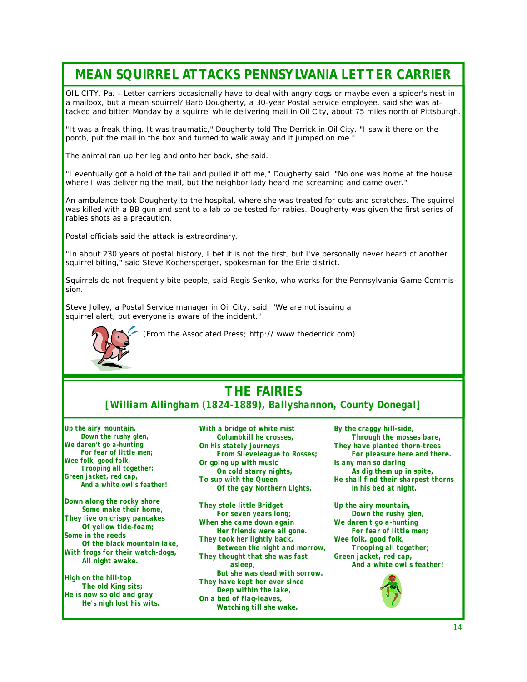## *MEAN SQUIRREL ATTACKS PENNSYLVANIA LETTER CARRIER*

OIL CITY, Pa. - Letter carriers occasionally have to deal with angry dogs or maybe even a spider's nest in a mailbox, but a mean squirrel? Barb Dougherty, a 30-year Postal Service employee, said she was attacked and bitten Monday by a squirrel while delivering mail in Oil City, about 75 miles north of Pittsburgh.

"It was a freak thing. It was traumatic," Dougherty told The Derrick in Oil City. "I saw it there on the porch, put the mail in the box and turned to walk away and it jumped on me."

The animal ran up her leg and onto her back, she said.

"I eventually got a hold of the tail and pulled it off me," Dougherty said. "No one was home at the house where I was delivering the mail, but the neighbor lady heard me screaming and came over."

An ambulance took Dougherty to the hospital, where she was treated for cuts and scratches. The squirrel was killed with a BB gun and sent to a lab to be tested for rabies. Dougherty was given the first series of rabies shots as a precaution.

Postal officials said the attack is extraordinary.

"In about 230 years of postal history, I bet it is not the first, but I've personally never heard of another squirrel biting," said Steve Kochersperger, spokesman for the Erie district.

Squirrels do not frequently bite people, said Regis Senko, who works for the Pennsylvania Game Commission.

Steve Jolley, a Postal Service manager in Oil City, said, "We are not issuing a squirrel alert, but everyone is aware of the incident."



 *(From the Associated Press; http:// www.thederrick.com)* 

### *THE FAIRIES [William Allingham (1824-1889), Ballyshannon, County Donegal]*

*Up the airy mountain, Down the rushy glen, We daren't go a-hunting For fear of little men; Wee folk, good folk, Trooping all together; Green jacket, red cap, And a white owl's feather!* 

*Down along the rocky shore Some make their home, They live on crispy pancakes Of yellow tide-foam; Some in the reeds Of the black mountain lake, With frogs for their watch-dogs, All night awake.* 

*High on the hill-top The old King sits; He is now so old and gray He's nigh lost his wits.* 

*With a bridge of white mist Columbkill he crosses, On his stately journeys From Slieveleague to Rosses; Or going up with music On cold starry nights, To sup with the Queen Of the gay Northern Lights.* 

*They stole little Bridget For seven years long; When she came down again Her friends were all gone. They took her lightly back, Between the night and morrow, They thought that she was fast asleep, But she was dead with sorrow. They have kept her ever since Deep within the lake, On a bed of flag-leaves, Watching till she wake.* 

*By the craggy hill-side, Through the mosses bare, They have planted thorn-trees For pleasure here and there. Is any man so daring As dig them up in spite, He shall find their sharpest thorns In his bed at night.* 

*Up the airy mountain, Down the rushy glen, We daren't go a-hunting For fear of little men; Wee folk, good folk, Trooping all together; Green jacket, red cap, And a white owl's feather!* 

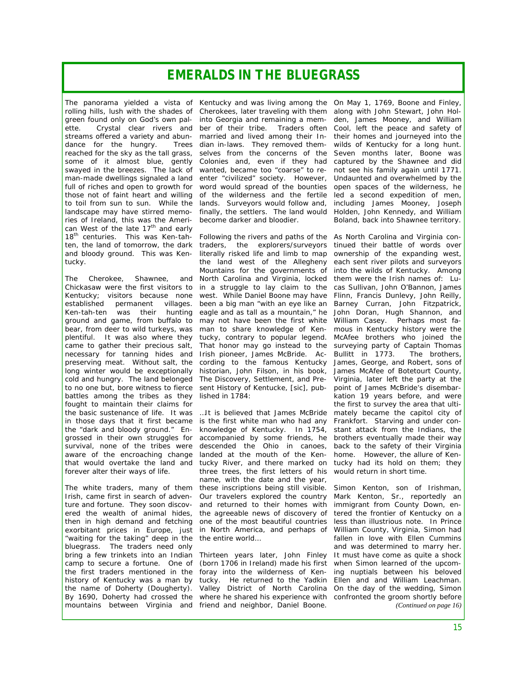### *EMERALDS IN THE BLUEGRASS*

dance for the hungry. swayed in the breezes. The lack of wanted, became too "coarse" to refull of riches and open to growth for those not of faint heart and willing of the wilderness and the fertile landscape may have stirred memories of Ireland, this was the Ameri-become darker and bloodier. can West of the late  $17<sup>th</sup>$  and early 18<sup>th</sup> centuries. This was Ken-tahten, the land of tomorrow, the dark traders, the explorers/surveyors and bloody ground. This was Ken-literally risked life and limb to map tucky.

The Cherokee, Shawnee, Chickasaw were the first visitors to in a struggle to lay claim to the Kentucky; visitors because none established permanent villages. ground and game, from buffalo to bear, from deer to wild turkeys, was man to share knowledge of Kenplentiful. It was also where they came to gather their precious salt, necessary for tanning hides and preserving meat. Without salt, the long winter would be exceptionally cold and hungry. The land belonged *The Discovery, Settlement, and Pre*to no one but, bore witness to fierce battles among the tribes as they fought to maintain their claims for the basic sustenance of life. It was in those days that it first became the "dark and bloody ground." Engrossed in their own struggles for survival, none of the tribes were aware of the encroaching change forever alter their ways of life.

The white traders, many of them *these inscriptions being still visible.*  Irish, came first in search of adventure and fortune. They soon discovered the wealth of animal hides, "waiting for the taking" deep in the *the entire world…* bluegrass. The traders need only camp to secure a fortune. One of the first traders mentioned in the history of Kentucky was a man by the name of Doherty (Dougherty). mountains between Virginia and friend and neighbor, Daniel Boone.

The panorama yielded a vista of Kentucky and was living among the On May 1, 1769, Boone and Finley, rolling hills, lush with the shades of Cherokees, later traveling with them along with John Stewart, John Holgreen found only on God's own pal- into Georgia and remaining a mem- den, James Mooney, and William ette. Crystal clear rivers and ber of their tribe. Traders often Cool, left the peace and safety of streams offered a variety and abun- married and lived among their In- their homes and journeyed into the reached for the sky as the tall grass, selves from the concerns of the Seven months later, Boone was some of it almost blue, gently Colonies and, even if they had captured by the Shawnee and did man-made dwellings signaled a land enter "civilized" society. However, Undaunted and overwhelmed by the to toil from sun to sun. While the lands. Surveyors would follow and, including James Mooney, Joseph dian in-laws. They removed them-wilds of Kentucky for a long hunt. word would spread of the bounties finally, the settlers. The land would Holden, John Kennedy, and William

Ken-tah-ten was their hunting eagle and as tall as a mountain," he John Doran, Hugh Shannon, and Following the rivers and paths of the As North Carolina and Virginia conthe land west of the Allegheny Mountains for the governments of and North Carolina and Virginia, locked west. While Daniel Boone may have been a big man "with an eye like an may not have been the first white William Casey. Perhaps most fatucky, contrary to popular legend. That honor may go instead to the Irish pioneer, James McBride. According to the famous Kentucky historian, John Filson, in his book, James McAfee of Botetourt County, *sent History of Kentucke, [sic]*, published in 1784:

that would overtake the land and *tucky River, and there marked on*  tucky had its hold on them; they then in high demand and fetching *one of the most beautiful countries*  less than illustrious note. In Prince exorbitant prices in Europe, just *in North America, and perhaps of*  William County, Virginia, Simon had *…It is believed that James McBride*  mately became the capitol city of *is the first white man who had any*  Frankfort. Starving and under con*knowledge of Kentucky. In 1754,*  stant attack from the Indians, the *accompanied by some friends, he*  brothers eventually made their way *descended the Ohio in canoes,*  back to the safety of their Virginia *landed at the mouth of the Kenthree trees, the first letters of his*  would return in short time. *name, with the date and the year, Our travelers explored the country and returned to their homes with the agreeable news of discovery of*  tered the frontier of Kentucky on a

bring a few trinkets into an Indian Thirteen years later, John Finley It must have come as quite a shock By 1690, Doherty had crossed the where he shared his experience with confronted the groom shortly before (born 1706 in Ireland) made his first when Simon learned of the upcomforay into the wilderness of Ken-ing nuptials between his beloved tucky. He returned to the Yadkin Ellen and and William Leachman. Valley District of North Carolina On the day of the wedding, Simon

not see his family again until 1771. open spaces of the wilderness, he led a second expedition of men, Boland, back into Shawnee territory.

tinued their battle of words over ownership of the expanding west, each sent river pilots and surveyors into the wilds of Kentucky. Among them were the Irish names of: Lucas Sullivan, John O'Bannon, James Flinn, Francis Dunlevy, John Reilly, Barney Curran, John Fitzpatrick, mous in Kentucky history were the McAfee brothers who joined the surveying party of Captain Thomas<br>Bullitt in 1773. The brothers, Bullitt in  $1773$ . James, George, and Robert, sons of Virginia, later left the party at the point of James McBride's disembarkation 19 years before, and were the first to survey the area that ultihome. However, the allure of Ken-

Simon Kenton, son of Irishman, Mark Kenton, Sr., reportedly an immigrant from County Down, enfallen in love with Ellen Cummins and was determined to marry her. *(Continued on page 16)*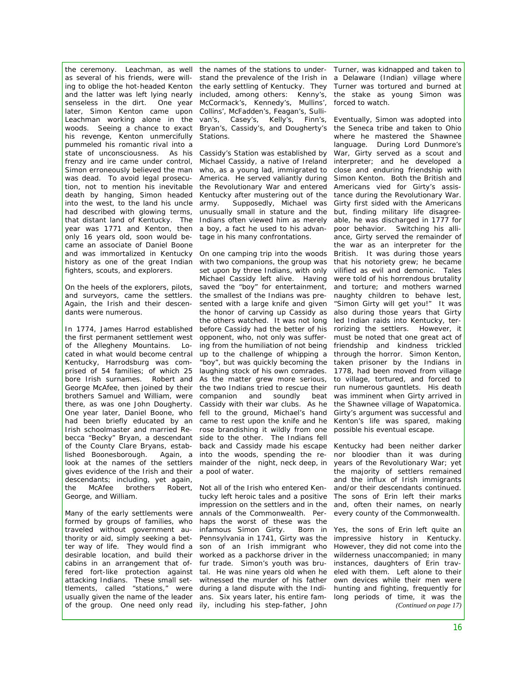the ceremony. Leachman, as well the names of the stations to under- Turner, was kidnapped and taken to as several of his friends, were willing to oblige the hot-headed Kenton and the latter was left lying nearly senseless in the dirt. One year later, Simon Kenton came upon Collins', McFadden's, Feagan's, Sulli-Leachman working alone in the van's, Casey's, Kelly's, Finn's, Eventually, Simon-was-adopted-into woods. Seeing a chance to exact his revenge, Kenton unmercifully pummeled his romantic rival into a state of unconsciousness. As his Cassidy's Station was established by frenzy and ire came under control, Simon erroneously believed the man was dead. To avoid legal prosecution, not to mention his inevitable death by hanging, Simon headed into the west, to the land his uncle had described with glowing terms, that distant land of Kentucky. The Indians often viewed him as merely year was 1771 and Kenton, then a boy, a fact he used to his advanonly 16 years old, soon would became an associate of Daniel Boone and was immortalized in Kentucky On one camping trip into the woods history as one of the great Indian with two companions, the group was fighters, scouts, and explorers.

On the heels of the explorers, pilots, and surveyors, came the settlers. Again, the Irish and their descendants were numerous.

the first permanent settlement west of the Allegheny Mountains. Located in what would become central Kentucky, Harrodsburg was comprised of 54 families; of which 25 bore Irish surnames. Robert and George McAfee, then joined by their brothers Samuel and William, were there, as was one John Dougherty. One year later, Daniel Boone, who had been briefly educated by an came to rest upon the knife and he Irish schoolmaster and married Re-rose brandishing it wildly from one becca "Becky" Bryan, a descendant side to the other. The Indians fell of the County Clare Bryans, established Boonesborough. Again, a look at the names of the settlers mainder of the night, neck deep, in gives evidence of the Irish and their a pool of water. descendants; including, yet again, the McAfee brothers George, and William.

Many of the early settlements were formed by groups of families, who traveled without government authority or aid, simply seeking a better way of life. They would find a son of an Irish immigrant who desirable location, and build their cabins in an arrangement that offered fort-like protection against tal. He was nine years old when he attacking Indians. These small settlements, called "stations," were during a land dispute with the Indiusually given the name of the leader ans. Six years later, his entire famof the group. One need only read ily, including his step-father, John

stand the prevalence of the Irish in a Delaware (Indian) village where the early settling of Kentucky. They Turner was tortured and burned at included, among others: Kenny's, the stake as young Simon was McCormack's, Kennedy's, Mullins', forced to watch. Bryan's, Cassidy's, and Dougherty's Stations.

Michael Cassidy, a native of Ireland who, as a young lad, immigrated to America. He served valiantly during the Revolutionary War and entered Kentucky after mustering out of the army. Supposedly, Michael was unusually small in stature and the tage in his many confrontations.

In 1774, James Harrod established before Cassidy had the better of his set upon by three Indians, with only Michael Cassidy left alive. Having saved the "boy" for entertainment, the smallest of the Indians was presented with a large knife and given the honor of carving up Cassidy as the others watched. It was not long opponent, who, not only was suffering from the humiliation of not being up to the challenge of whipping a "boy", but was quickly becoming the taken prisoner by the Indians in laughing stock of his own comrades. 1778, had been moved from village As the matter grew more serious, to village, tortured, and forced to the two Indians tried to rescue their companion and soundly beat Cassidy with their war clubs. As he fell to the ground, Michael's hand back and Cassidy made his escape into the woods, spending the re-

> Robert, Not all of the Irish who entered Kentucky left heroic tales and a positive impression on the settlers and in the annals of the Commonwealth. Perhaps the worst of these was the infamous Simon Girty. Born in Pennsylvania in 1741, Girty was the worked as a packhorse driver in the fur trade. Simon's youth was bruwitnessed the murder of his father

the Seneca tribe and taken to Ohio where he mastered the Shawnee language. During Lord Dunmore's War, Girty served as a scout and interpreter; and he developed a close and enduring friendship with Simon Kenton. Both the British and Americans vied for Girty's assistance during the Revolutionary War. Girty first sided with the Americans but, finding military life disagreeable, he was discharged in 1777 for poor behavior. Switching his alliance, Girty served the remainder of the war as an interpreter for the British. It was during those years that his notoriety grew; he became vilified as evil and demonic. Tales were told of his horrendous brutality and torture; and mothers warned naughty children to behave lest, "Simon Girty will get you!" It was also during those years that Girty led Indian raids into Kentucky, terrorizing the settlers. However, it must be noted that one great act of friendship and kindness trickled through the horror. Simon Kenton, run numerous gauntlets. His death was imminent when Girty arrived in the Shawnee village of Wapatomica. Girty's argument was successful and Kenton's life was spared, making possible his eventual escape.

Kentucky had been neither darker nor bloodier than it was during years of the Revolutionary War; yet the majority of settlers remained and the influx of Irish immigrants and/or their descendants continued. The sons of Erin left their marks and, often their names, on nearly every county of the Commonwealth.

Yes, the sons of Erin left quite an impressive history in Kentucky. However, they did not come into the wilderness unaccompanied; in many instances, daughters of Erin traveled with them. Left alone to their own devices while their men were hunting and fighting, frequently for long periods of time, it was the *(Continued on page 17)*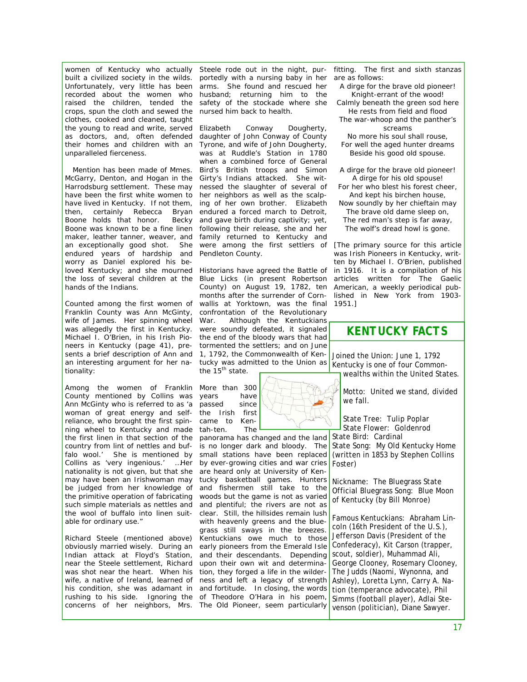women of Kentucky who actually Steele rode out in the night, purbuilt a civilized society in the wilds. Unfortunately, very little has been recorded about the women who raised the children, tended the crops, spun the cloth and sewed the clothes, cooked and cleaned, taught the young to read and write, served as doctors, and, often defended their homes and children with an unparalleled fierceness.

Mention has been made of Mmes. McGarry, Denton, and Hogan in the Harrodsburg settlement. These may have been the first white women to have lived in Kentucky. If not them, then, certainly Rebecca Bryan Boone holds that honor. Becky Boone was known to be a fine linen maker, leather tanner, weaver, and an exceptionally good shot. She endured years of hardship and worry as Daniel explored his beloved Kentucky; and she mourned hands of the Indians.

Franklin County was Ann McGinty, wife of James. Her spinning wheel was allegedly the first in Kentucky. Michael I. O'Brien, in his *Irish Pioneers in Kentucky* (page 41), presents a brief description of Ann and an interesting argument for her nationality:

*Among the women of Franklin*  More than 300 *County mentioned by Collins was Ann McGinty who is referred to as 'a woman of great energy and selfreliance, who brought the first spin-*came to Ken*ning wheel to Kentucky and made*  tah-ten. The *the first linen in that section of the country from lint of nettles and buffalo wool.' She is mentioned by Collins as 'very ingenious.' …Her nationality is not given, but that she*  are heard only at University of Ken*such simple materials as nettles and able for ordinary use."* 

Indian attack at Floyd's Station, near the Steele settlement, Richard was shot near the heart. When his tion, they forged a life in the wilderconcerns of her neighbors, Mrs. *The Old Pioneer*, seem particularly

portedly with a nursing baby in her arms. She found and rescued her husband; returning him to the safety of the stockade where she nursed him back to health.

Elizabeth Conway Dougherty, daughter of John Conway of County Tyrone, and wife of John Dougherty, was at Ruddle's Station in 1780 when a combined force of General Bird's British troops and Simon Girty's Indians attacked. She witnessed the slaughter of several of her neighbors as well as the scalping of her own brother. Elizabeth endured a forced march to Detroit, and gave birth during captivity; yet, following their release, she and her family returned to Kentucky and were among the first settlers of Pendleton County.

the loss of several children at the Blue Licks (in present Robertson Counted among the first women of wallis at Yorktown, was the final Historians have agreed the Battle of County) on August 19, 1782, ten months after the surrender of Cornconfrontation of the Revolutionary War. Although the Kentuckians were soundly defeated, it signaled the end of the bloody wars that had tormented the settlers; and on June 1, 1792, the Commonwealth of Kentucky was admitted to the Union as the 15<sup>th</sup> state.

> years have passed since the Irish first

*may have been an Irishwoman may*  tucky basketball games. Hunters *be judged from her knowledge of*  and fishermen still take to the *the primitive operation of fabricating*  woods but the game is not as varied *the wool of buffalo into linen suit-*clear. Still, the hillsides remain lush Richard Steele (mentioned above) Kentuckians owe much to those obviously married wisely. During an early pioneers from the Emerald Isle wife, a native of Ireland, learned of ness and left a legacy of strength his condition, she was adamant in and fortitude. In closing, the words rushing to his side. Ignoring the of Theodore O'Hara in his poem, panorama has changed and the land is no longer dark and bloody. The small stations have been replaced by ever-growing cities and war cries and plentiful; the rivers are not as with heavenly greens and the bluegrass still sways in the breezes. and their descendants. Depending upon their own wit and determina-

fitting. The first and sixth stanzas are as follows:

*A dirge for the brave old pioneer! Knight-errant of the wood! Calmly beneath the green sod here He rests from field and flood The war-whoop and the panther's screams* 

*No more his soul shall rouse, For well the aged hunter dreams Beside his good old spouse.* 

*A dirge for the brave old pioneer! A dirge for his old spouse! For her who blest his forest cheer, And kept his birchen house, Now soundly by her chieftain may The brave old dame sleep on, The red man's step is far away, The wolf's dread howl is gone.* 

*[The primary source for this article was Irish Pioneers in Kentucky, written by Michael I. O'Brien, published in 1916. It is a compilation of his articles written for The Gaelic American, a weekly periodical published in New York from 1903- 1951.]* 

#### *KENTUCKY FACTS*

Joined the Union: June 1, 1792 Kentucky is one of four Commonwealths within the United States.

Motto: United we stand, divided we fall.

State Tree: Tulip Poplar State Flower: Goldenrod

State Bird: Cardinal State Song: My Old Kentucky Home (written in 1853 by Stephen Collins Foster)

Nickname: The Bluegrass State Official Bluegrass Song: Blue Moon of Kentucky (by Bill Monroe)

Famous Kentuckians: Abraham Lincoln (16th President of the U.S.), Jefferson Davis (President of the Confederacy), Kit Carson (trapper, scout, soldier), Muhammad Ali, George Clooney, Rosemary Clooney, The Judds (Naomi, Wynonna, and Ashley), Loretta Lynn, Carry A. Nation (temperance advocate), Phil Simms (football player), Adlai Stevenson (politician), Diane Sawyer.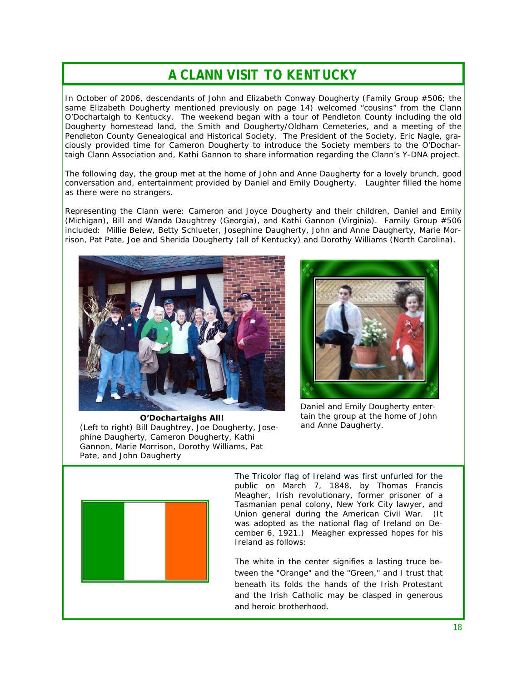## *A CLANN VISIT TO KENTUCKY*

In October of 2006, descendants of John and Elizabeth Conway Dougherty (Family Group #506; the same Elizabeth Dougherty mentioned previously on page 14) welcomed "cousins" from the Clann O'Dochartaigh to Kentucky. The weekend began with a tour of Pendleton County including the old Dougherty homestead land, the Smith and Dougherty/Oldham Cemeteries, and a meeting of the Pendleton County Genealogical and Historical Society. The President of the Society, Eric Nagle, graciously provided time for Cameron Dougherty to introduce the Society members to the O'Dochartaigh Clann Association and, Kathi Gannon to share information regarding the Clann's Y-DNA project.

The following day, the group met at the home of John and Anne Daugherty for a lovely brunch, good conversation and, entertainment provided by Daniel and Emily Dougherty. Laughter filled the home as there were no strangers.

Representing the Clann were: Cameron and Joyce Dougherty and their children, Daniel and Emily (Michigan), Bill and Wanda Daughtrey (Georgia), and Kathi Gannon (Virginia). Family Group #506 included: Millie Belew, Betty Schlueter, Josephine Daugherty, John and Anne Daugherty, Marie Morrison, Pat Pate, Joe and Sherida Dougherty (all of Kentucky) and Dorothy Williams (North Carolina).





Daniel and Emily Dougherty entertain the group at the home of John and Anne Daugherty.

**O'Dochartaighs All!**  (Left to right) Bill Daughtrey, Joe Dougherty, Josephine Daugherty, Cameron Dougherty, Kathi Gannon, Marie Morrison, Dorothy Williams, Pat Pate, and John Daugherty



The Tricolor flag of Ireland was first unfurled for the public on March 7, 1848, by Thomas Francis Meagher, Irish revolutionary, former prisoner of a Tasmanian penal colony, New York City lawyer, and Union general during the American Civil War. (It was adopted as the national flag of Ireland on December 6, 1921.) Meagher expressed hopes for his Ireland as follows:

*The white in the center signifies a lasting truce between the "Orange" and the "Green," and I trust that beneath its folds the hands of the Irish Protestant and the Irish Catholic may be clasped in generous and heroic brotherhood.*